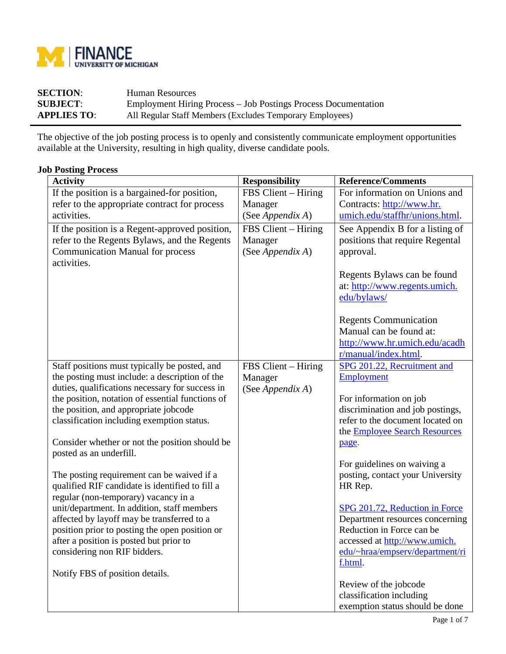

| <b>SECTION:</b>    | Human Resources                                                       |
|--------------------|-----------------------------------------------------------------------|
| <b>SUBJECT:</b>    | <b>Employment Hiring Process – Job Postings Process Documentation</b> |
| <b>APPLIES TO:</b> | All Regular Staff Members (Excludes Temporary Employees)              |

The objective of the job posting process is to openly and consistently communicate employment opportunities available at the University, resulting in high quality, diverse candidate pools.

# **Job Posting Process**

| <b>Activity</b>                                                                                     | <b>Responsibility</b> | <b>Reference/Comments</b>                                  |
|-----------------------------------------------------------------------------------------------------|-----------------------|------------------------------------------------------------|
| If the position is a bargained-for position,                                                        | FBS Client – Hiring   | For information on Unions and                              |
| refer to the appropriate contract for process                                                       | Manager               | Contracts: http://www.hr.                                  |
| activities.                                                                                         | (See Appendix A)      | umich.edu/staffhr/unions.html.                             |
| If the position is a Regent-approved position,                                                      | FBS Client - Hiring   | See Appendix B for a listing of                            |
| refer to the Regents Bylaws, and the Regents                                                        | Manager               | positions that require Regental                            |
| <b>Communication Manual for process</b>                                                             | (See Appendix A)      | approval.                                                  |
| activities.                                                                                         |                       |                                                            |
|                                                                                                     |                       | Regents Bylaws can be found                                |
|                                                                                                     |                       | at: http://www.regents.umich.                              |
|                                                                                                     |                       | edu/bylaws/                                                |
|                                                                                                     |                       |                                                            |
|                                                                                                     |                       | <b>Regents Communication</b>                               |
|                                                                                                     |                       | Manual can be found at:                                    |
|                                                                                                     |                       | http://www.hr.umich.edu/acadh                              |
|                                                                                                     |                       | r/manual/index.html.                                       |
| Staff positions must typically be posted, and                                                       | FBS Client – Hiring   | SPG 201.22, Recruitment and                                |
| the posting must include: a description of the                                                      | Manager               | Employment                                                 |
| duties, qualifications necessary for success in<br>the position, notation of essential functions of | (See Appendix A)      | For information on job                                     |
| the position, and appropriate jobcode                                                               |                       | discrimination and job postings,                           |
| classification including exemption status.                                                          |                       | refer to the document located on                           |
|                                                                                                     |                       | the <b>Employee Search Resources</b>                       |
| Consider whether or not the position should be                                                      |                       | page.                                                      |
| posted as an underfill.                                                                             |                       |                                                            |
|                                                                                                     |                       | For guidelines on waiving a                                |
| The posting requirement can be waived if a                                                          |                       | posting, contact your University                           |
| qualified RIF candidate is identified to fill a                                                     |                       | HR Rep.                                                    |
| regular (non-temporary) vacancy in a                                                                |                       |                                                            |
| unit/department. In addition, staff members                                                         |                       | SPG 201.72, Reduction in Force                             |
| affected by layoff may be transferred to a                                                          |                       | Department resources concerning                            |
| position prior to posting the open position or<br>after a position is posted but prior to           |                       | Reduction in Force can be<br>accessed at http://www.umich. |
| considering non RIF bidders.                                                                        |                       | edu/~hraa/empserv/department/ri                            |
|                                                                                                     |                       | f.html.                                                    |
| Notify FBS of position details.                                                                     |                       |                                                            |
|                                                                                                     |                       | Review of the jobcode                                      |
|                                                                                                     |                       | classification including                                   |
|                                                                                                     |                       | exemption status should be done                            |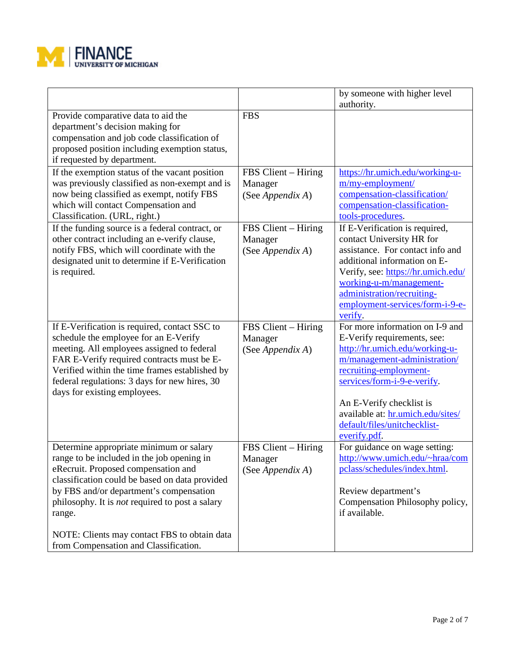

|                                                                                                                                                                                                                                                                                                                                                                                        |                                                    | by someone with higher level                                                                                                                                                                                                                                                                               |
|----------------------------------------------------------------------------------------------------------------------------------------------------------------------------------------------------------------------------------------------------------------------------------------------------------------------------------------------------------------------------------------|----------------------------------------------------|------------------------------------------------------------------------------------------------------------------------------------------------------------------------------------------------------------------------------------------------------------------------------------------------------------|
|                                                                                                                                                                                                                                                                                                                                                                                        |                                                    | authority.                                                                                                                                                                                                                                                                                                 |
| Provide comparative data to aid the<br>department's decision making for<br>compensation and job code classification of<br>proposed position including exemption status,<br>if requested by department.                                                                                                                                                                                 | <b>FBS</b>                                         |                                                                                                                                                                                                                                                                                                            |
| If the exemption status of the vacant position<br>was previously classified as non-exempt and is<br>now being classified as exempt, notify FBS<br>which will contact Compensation and<br>Classification. (URL, right.)                                                                                                                                                                 | FBS Client – Hiring<br>Manager<br>(See Appendix A) | https://hr.umich.edu/working-u-<br>m/my-employment/<br>compensation-classification/<br>compensation-classification-<br>tools-procedures.                                                                                                                                                                   |
| If the funding source is a federal contract, or<br>other contract including an e-verify clause,<br>notify FBS, which will coordinate with the<br>designated unit to determine if E-Verification<br>is required.                                                                                                                                                                        | FBS Client – Hiring<br>Manager<br>(See Appendix A) | If E-Verification is required,<br>contact University HR for<br>assistance. For contact info and<br>additional information on E-<br>Verify, see: https://hr.umich.edu/<br>working-u-m/management-<br>administration/recruiting-<br>employment-services/form-i-9-e-<br>verify.                               |
| If E-Verification is required, contact SSC to<br>schedule the employee for an E-Verify<br>meeting. All employees assigned to federal<br>FAR E-Verify required contracts must be E-<br>Verified within the time frames established by<br>federal regulations: 3 days for new hires, 30<br>days for existing employees.                                                                  | FBS Client – Hiring<br>Manager<br>(See Appendix A) | For more information on I-9 and<br>E-Verify requirements, see:<br>http://hr.umich.edu/working-u-<br>m/management-administration/<br>recruiting-employment-<br>services/form-i-9-e-verify.<br>An E-Verify checklist is<br>available at: hr.umich.edu/sites/<br>default/files/unitchecklist-<br>everify.pdf. |
| Determine appropriate minimum or salary<br>range to be included in the job opening in<br>eRecruit. Proposed compensation and<br>classification could be based on data provided<br>by FBS and/or department's compensation<br>philosophy. It is <i>not</i> required to post a salary<br>range.<br>NOTE: Clients may contact FBS to obtain data<br>from Compensation and Classification. | FBS Client – Hiring<br>Manager<br>(See Appendix A) | For guidance on wage setting:<br>http://www.umich.edu/~hraa/com<br>pclass/schedules/index.html.<br>Review department's<br>Compensation Philosophy policy,<br>if available.                                                                                                                                 |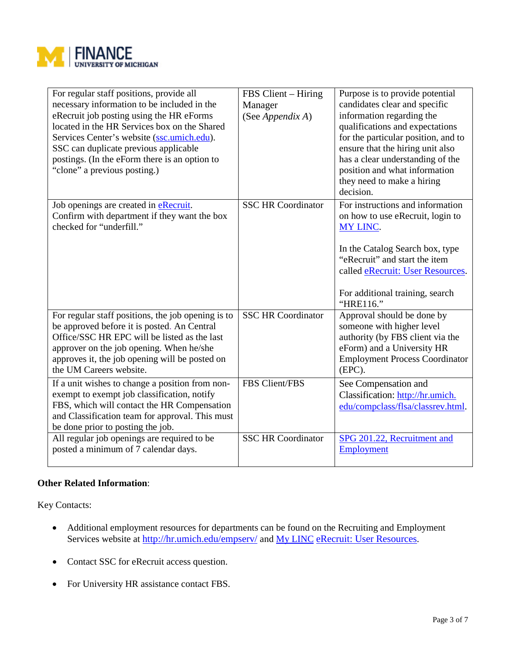

| For regular staff positions, provide all<br>necessary information to be included in the<br>eRecruit job posting using the HR eForms<br>located in the HR Services box on the Shared<br>Services Center's website (ssc.umich.edu).<br>SSC can duplicate previous applicable<br>postings. (In the eForm there is an option to<br>"clone" a previous posting.) | FBS Client - Hiring<br>Manager<br>(See Appendix A) | Purpose is to provide potential<br>candidates clear and specific<br>information regarding the<br>qualifications and expectations<br>for the particular position, and to<br>ensure that the hiring unit also<br>has a clear understanding of the<br>position and what information<br>they need to make a hiring<br>decision. |
|-------------------------------------------------------------------------------------------------------------------------------------------------------------------------------------------------------------------------------------------------------------------------------------------------------------------------------------------------------------|----------------------------------------------------|-----------------------------------------------------------------------------------------------------------------------------------------------------------------------------------------------------------------------------------------------------------------------------------------------------------------------------|
| Job openings are created in eRecruit.<br>Confirm with department if they want the box<br>checked for "underfill."                                                                                                                                                                                                                                           | <b>SSC HR Coordinator</b>                          | For instructions and information<br>on how to use eRecruit, login to<br>MY LINC.<br>In the Catalog Search box, type<br>"eRecruit" and start the item<br>called eRecruit: User Resources.<br>For additional training, search<br>"HRE116."                                                                                    |
| For regular staff positions, the job opening is to<br>be approved before it is posted. An Central<br>Office/SSC HR EPC will be listed as the last<br>approver on the job opening. When he/she<br>approves it, the job opening will be posted on<br>the UM Careers website.                                                                                  | <b>SSC HR Coordinator</b>                          | Approval should be done by<br>someone with higher level<br>authority (by FBS client via the<br>eForm) and a University HR<br><b>Employment Process Coordinator</b><br>(EPC).                                                                                                                                                |
| If a unit wishes to change a position from non-<br>exempt to exempt job classification, notify<br>FBS, which will contact the HR Compensation<br>and Classification team for approval. This must<br>be done prior to posting the job.                                                                                                                       | FBS Client/FBS                                     | See Compensation and<br>Classification: http://hr.umich.<br>edu/compclass/flsa/classrev.html.                                                                                                                                                                                                                               |
| All regular job openings are required to be<br>posted a minimum of 7 calendar days.                                                                                                                                                                                                                                                                         | <b>SSC HR Coordinator</b>                          | SPG 201.22, Recruitment and<br>Employment                                                                                                                                                                                                                                                                                   |

## **Other Related Information**:

Key Contacts:

- Additional employment resources for departments can be found on the Recruiting and Employment Services website at<http://hr.umich.edu/empserv/> and [My LINC](https://maislinc.umich.edu/maislinc/learner/home/index?lang=en-US) [eRecruit: User Resources.](http://maislinc.umich.edu/maislinc/lang-en/management/LMS_ActDetails.asp?UserMode=0&ActivityId=30706&CallerURL=/maislinc/lang-en/taxonomy/TAX_Search.asp?UserMode=0&NodeID=0&SelectedNodeID=0&VSC=ItemName&VSO=A&SourceRef=-1&DispMode=normal&AdvType=0&SearchSt)
- Contact SSC for eRecruit access question.
- For University HR assistance contact FBS.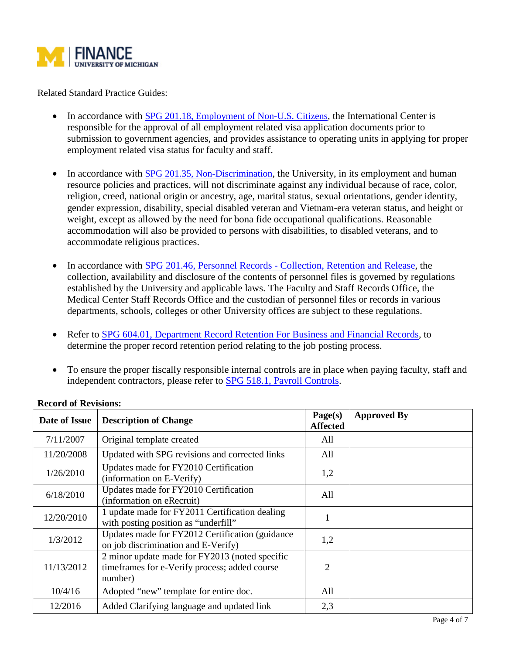

Related Standard Practice Guides:

- In accordance with [SPG 201.18, Employment of Non-U.S. Citizens,](http://spg.umich.edu/pdf/201.18.pdf) the International Center is responsible for the approval of all employment related visa application documents prior to submission to government agencies, and provides assistance to operating units in applying for proper employment related visa status for faculty and staff.
- In accordance with [SPG 201.35, Non-Discrimination,](http://spg.umich.edu/pdf/201.35.pdf) the University, in its employment and human resource policies and practices, will not discriminate against any individual because of race, color, religion, creed, national origin or ancestry, age, marital status, sexual orientations, gender identity, gender expression, disability, special disabled veteran and Vietnam-era veteran status, and height or weight, except as allowed by the need for bona fide occupational qualifications. Reasonable accommodation will also be provided to persons with disabilities, to disabled veterans, and to accommodate religious practices.
- In accordance with SPG 201.46, Personnel Records [Collection, Retention and Release,](http://spg.umich.edu/pdf/201.46.pdf) the collection, availability and disclosure of the contents of personnel files is governed by regulations established by the University and applicable laws. The Faculty and Staff Records Office, the Medical Center Staff Records Office and the custodian of personnel files or records in various departments, schools, colleges or other University offices are subject to these regulations.
- Refer to [SPG 604.01, Department Record Retention For Business and Financial Records,](http://spg.umich.edu/policy/604.01) to determine the proper record retention period relating to the job posting process.
- To ensure the proper fiscally responsible internal controls are in place when paying faculty, staff and independent contractors, please refer to [SPG 518.1, Payroll Controls.](http://spg.umich.edu/pdf/518.01.pdf)

| Date of Issue | <b>Description of Change</b>                                                                               | Page(s)<br><b>Affected</b> | <b>Approved By</b> |
|---------------|------------------------------------------------------------------------------------------------------------|----------------------------|--------------------|
| 7/11/2007     | Original template created                                                                                  | All                        |                    |
| 11/20/2008    | Updated with SPG revisions and corrected links                                                             | All                        |                    |
| 1/26/2010     | Updates made for FY2010 Certification<br>(information on E-Verify)                                         | 1,2                        |                    |
| 6/18/2010     | Updates made for FY2010 Certification<br>(information on eRecruit)                                         | All                        |                    |
| 12/20/2010    | 1 update made for FY2011 Certification dealing<br>with posting position as "underfill"                     |                            |                    |
| 1/3/2012      | Updates made for FY2012 Certification (guidance)<br>on job discrimination and E-Verify)                    | 1,2                        |                    |
| 11/13/2012    | 2 minor update made for FY2013 (noted specific<br>timeframes for e-Verify process; added course<br>number) | 2                          |                    |
| 10/4/16       | Adopted "new" template for entire doc.                                                                     | All                        |                    |
| 12/2016       | Added Clarifying language and updated link                                                                 | 2,3                        |                    |

### **Record of Revisions:**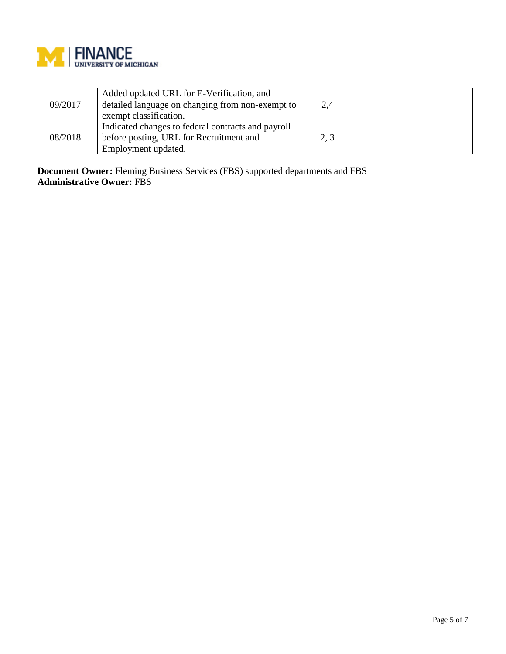

| 09/2017 | Added updated URL for E-Verification, and<br>detailed language on changing from non-exempt to<br>exempt classification. | 2,4  |  |
|---------|-------------------------------------------------------------------------------------------------------------------------|------|--|
| 08/2018 | Indicated changes to federal contracts and payroll<br>before posting, URL for Recruitment and<br>Employment updated.    | 2, 3 |  |

**Document Owner:** Fleming Business Services (FBS) supported departments and FBS **Administrative Owner:** FBS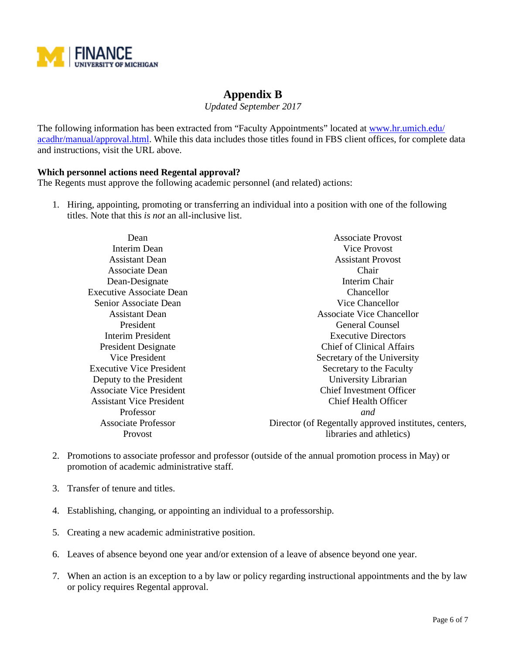

# **Appendix B**

*Updated September 2017*

The following information has been extracted from "Faculty Appointments" located at [www.hr.umich.edu/](http://www.hr.umich.edu/%20acadhr/manual/approval.html)  [acadhr/manual/approval.html.](http://www.hr.umich.edu/%20acadhr/manual/approval.html) While this data includes those titles found in FBS client offices, for complete data and instructions, visit the URL above.

### **Which personnel actions need Regental approval?**

The Regents must approve the following academic personnel (and related) actions:

1. Hiring, appointing, promoting or transferring an individual into a position with one of the following titles. Note that this *is not* an all-inclusive list.

| Associate Provost                                     |
|-------------------------------------------------------|
| <b>Vice Provost</b>                                   |
| <b>Assistant Provost</b>                              |
| Chair                                                 |
| Interim Chair                                         |
| Chancellor                                            |
| Vice Chancellor                                       |
| <b>Associate Vice Chancellor</b>                      |
| <b>General Counsel</b>                                |
| <b>Executive Directors</b>                            |
| <b>Chief of Clinical Affairs</b>                      |
| Secretary of the University                           |
| Secretary to the Faculty                              |
| University Librarian                                  |
| <b>Chief Investment Officer</b>                       |
| Chief Health Officer                                  |
| and                                                   |
| Director (of Regentally approved institutes, centers, |
| libraries and athletics)                              |
|                                                       |

- 2. Promotions to associate professor and professor (outside of the annual promotion process in May) or promotion of academic administrative staff.
- 3. Transfer of tenure and titles.
- 4. Establishing, changing, or appointing an individual to a professorship.
- 5. Creating a new academic administrative position.
- 6. Leaves of absence beyond one year and/or extension of a leave of absence beyond one year.
- 7. When an action is an exception to a by law or policy regarding instructional appointments and the by law or policy requires Regental approval.